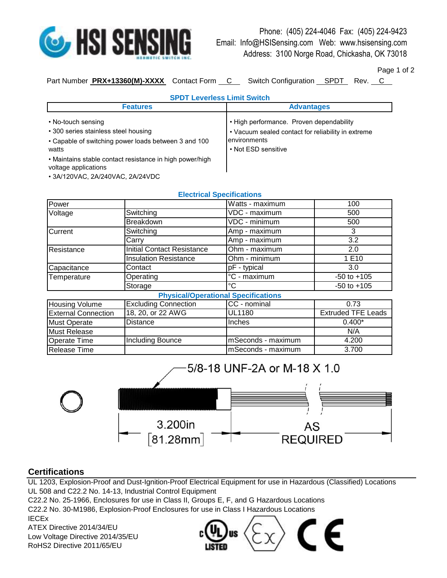

Phone: (405) 224-4046 Fax: (405) 224-9423 Email: Info@HSISensing.com Web: www.hsisensing.com Address: 3100 Norge Road, Chickasha, OK 73018

Page 1 of 2

Part Number PRX+13360(M)-XXXX Contact Form C Switch Configuration SPDT Rev. C

| <b>SPDT Leverless Limit Switch</b>                                                                                          |                                                                                                                                       |  |  |
|-----------------------------------------------------------------------------------------------------------------------------|---------------------------------------------------------------------------------------------------------------------------------------|--|--|
| <b>Features</b>                                                                                                             | <b>Advantages</b>                                                                                                                     |  |  |
| • No-touch sensing<br>• 300 series stainless steel housing<br>• Capable of switching power loads between 3 and 100<br>watts | • High performance. Proven dependability<br>• Vacuum sealed contact for reliability in extreme<br>environments<br>• Not ESD sensitive |  |  |
| • Maintains stable contact resistance in high power/high<br>voltage applications                                            |                                                                                                                                       |  |  |

• 3A/120VAC, 2A/240VAC, 2A/24VDC

|                            |                                   | <b>Electrical Specifications</b>           |                           |
|----------------------------|-----------------------------------|--------------------------------------------|---------------------------|
| Power                      |                                   | Watts - maximum                            | 100                       |
| Voltage                    | Switching                         | VDC - maximum                              | 500                       |
|                            | <b>Breakdown</b>                  | VDC - minimum                              | 500                       |
| Current                    | Switching                         | Amp - maximum                              | 3                         |
|                            | Carry                             | Amp - maximum                              | 3.2                       |
| Resistance                 | <b>Initial Contact Resistance</b> | Ohm - maximum                              | 2.0                       |
|                            | <b>Insulation Resistance</b>      | Ohm - minimum                              | 1 E10                     |
| Capacitance                | Contact                           | pF - typical                               | 3.0                       |
| Temperature                | Operating                         | °C - maximum                               | $-50$ to $+105$           |
|                            | Storage                           | $^{\circ}$ C                               | $-50$ to $+105$           |
|                            |                                   | <b>Physical/Operational Specifications</b> |                           |
| <b>Housing Volume</b>      | <b>Excluding Connection</b>       | CC - nominal                               | 0.73                      |
| <b>External Connection</b> | 18, 20, or 22 AWG                 | <b>UL1180</b>                              | <b>Extruded TFE Leads</b> |
| <b>Must Operate</b>        | Distance                          | Inches                                     | $0.400*$                  |
| <b>Must Release</b>        |                                   |                                            | N/A                       |
| <b>Operate Time</b>        | <b>Including Bounce</b>           | mSeconds - maximum                         | 4.200                     |
| Release Time               |                                   | mSeconds - maximum                         | 3.700                     |



## **Certifications**

UL 1203, Explosion-Proof and Dust-Ignition-Proof Electrical Equipment for use in Hazardous (Classified) Locations UL 508 and C22.2 No. 14-13, Industrial Control Equipment

C22.2 No. 25-1966, Enclosures for use in Class II, Groups E, F, and G Hazardous Locations C22.2 No. 30-M1986, Explosion-Proof Enclosures for use in Class I Hazardous Locations

RoHS2 Directive 2011/65/EU IECEx ATEX Directive 2014/34/EU Low Voltage Directive 2014/35/EU